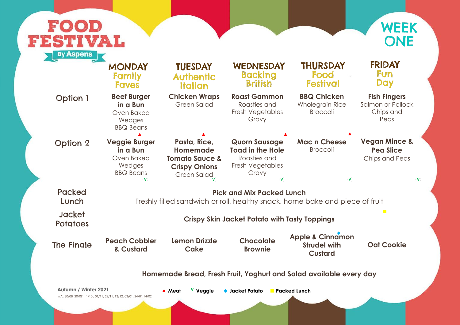Salmon or Pollock Chips and Peas

### **Fish Fingers**

## **Vegan Mince & Pea Slice**

Chips and Peas

 $\mathbf V$ 

 $\mathbf{v}$ 

ece of fruit

 $\mathbf{h}$ 



|                                  | <b>MONDAY</b><br><b>Family</b><br><b>Faves</b>                                                         | <b>TUESDAY</b><br><b>Authentic</b><br><b>Italian</b>                                                       | WEDNESDAY<br><b>Backing</b><br><b>British</b>                                                     | <b>THURSDAY</b><br><b>Food</b><br><b>Festival</b>                    |  |  |
|----------------------------------|--------------------------------------------------------------------------------------------------------|------------------------------------------------------------------------------------------------------------|---------------------------------------------------------------------------------------------------|----------------------------------------------------------------------|--|--|
| <b>Option 1</b>                  | <b>Beef Burger</b><br>in a Bun<br>Oven Baked<br>Wedges<br><b>BBQ Beans</b>                             | <b>Chicken Wraps</b><br><b>Green Salad</b>                                                                 | <b>Roast Gammon</b><br>Roasties and<br>Fresh Vegetables<br>Gravy                                  | <b>BBQ Chicken</b><br><b>Wholegrain Rice</b><br><b>Broccoli</b>      |  |  |
| <b>Option 2</b>                  | <b>Veggie Burger</b><br>in a Bun<br>Oven Baked<br>Wedges<br><b>BBQ Beans</b>                           | Pasta, Rice,<br><b>Homemade</b><br><b>Tomato Sauce &amp;</b><br><b>Crispy Onions</b><br><b>Green Salad</b> | <b>Quorn Sausage</b><br><b>Toad in the Hole</b><br>Roasties and<br>Fresh Vegetables<br>Gravy<br>V | <b>Mac n Cheese</b><br><b>Broccoli</b><br>V                          |  |  |
| <b>Packed</b><br>Lunch           | <b>Pick and Mix Packed Lunch</b><br>Freshly filled sandwich or roll, healthy snack, home bake and pied |                                                                                                            |                                                                                                   |                                                                      |  |  |
| <b>Jacket</b><br><b>Potatoes</b> | <b>Crispy Skin Jacket Potato with Tasty Toppings</b>                                                   |                                                                                                            |                                                                                                   |                                                                      |  |  |
| <b>The Finale</b>                | <b>Peach Cobbler</b><br>& Custard                                                                      | Lemon Drizzle<br>Cake                                                                                      | <b>Chocolate</b><br><b>Brownie</b>                                                                | <b>Apple &amp; Cinnamor</b><br><b>Strudel with</b><br><b>Custard</b> |  |  |
|                                  |                                                                                                        |                                                                                                            | Homemade Bread, Fresh Fruit, Yoghurt and Salad available eve                                      |                                                                      |  |  |
| <b>Autumn / Winter 2021</b>      |                                                                                                        | V Veggie<br>▲ Meat                                                                                         | $\bullet$ Jacket Potato                                                                           | <b>Packed Lunch</b>                                                  |  |  |



### **FRIDAY Fun** Day

**Oat Cookie**

 $\overline{\phantom{a}}$ 

*Hery* **day**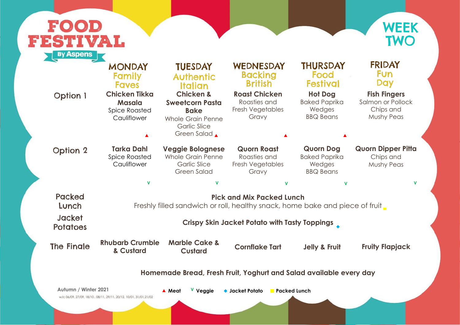### **Fish Fingers**

## FOOD IVAL.  $\mathbf{r}$ By Aspens

| <b>Option 1</b>                                                    | <b>MONDAY</b><br>Family<br><b>Faves</b><br><b>Chicken Tikka</b><br><b>Masala</b><br><b>Spice Roasted</b><br>Cauliflower | <b>TUESDAY</b><br><b>Authentic</b><br>Italian<br><b>Chicken &amp;</b><br><b>Sweetcorn Pasta</b><br><b>Bake</b><br><b>Whole Grain Penne</b><br><b>Garlic Slice</b><br>Green Salad | WEDNESDAY<br><b>Backing</b><br><b>British</b><br><b>Roast Chicken</b><br>Roasties and<br>Fresh Vegetables<br>Gravy | <b>THURSDAY</b><br>Food<br><b>Festival</b><br><b>Hot Dog</b><br><b>Baked Paprika</b><br>Wedges<br><b>BBQ Beans</b> | <b>FRIDAY</b><br><b>Fun</b><br><b>Day</b><br><b>Fish Fingers</b><br>Salmon or Pollock<br>Chips and<br>Mushy Peas |  |  |  |
|--------------------------------------------------------------------|-------------------------------------------------------------------------------------------------------------------------|----------------------------------------------------------------------------------------------------------------------------------------------------------------------------------|--------------------------------------------------------------------------------------------------------------------|--------------------------------------------------------------------------------------------------------------------|------------------------------------------------------------------------------------------------------------------|--|--|--|
| <b>Option 2</b>                                                    | <b>Tarka Dahl</b><br><b>Spice Roasted</b><br>Cauliflower                                                                | <b>Veggie Bolognese</b><br><b>Whole Grain Penne</b><br><b>Garlic Slice</b><br><b>Green Salad</b>                                                                                 | <b>Quorn Roast</b><br>Roasties and<br>Fresh Vegetables<br>Gravy                                                    | <b>Quorn Dog</b><br><b>Baked Paprika</b><br>Wedges<br><b>BBQ Beans</b>                                             | <b>Quorn Dipper Pitta</b><br>Chips and<br><b>Mushy Peas</b>                                                      |  |  |  |
|                                                                    | $\mathbf v$                                                                                                             | V                                                                                                                                                                                | $\mathbf v$                                                                                                        | $\mathbf v$                                                                                                        |                                                                                                                  |  |  |  |
| <b>Packed</b><br>Lunch                                             | <b>Pick and Mix Packed Lunch</b><br>Freshly filled sandwich or roll, healthy snack, home bake and piece of fruit        |                                                                                                                                                                                  |                                                                                                                    |                                                                                                                    |                                                                                                                  |  |  |  |
| <b>Jacket</b><br><b>Potatoes</b>                                   | <b>Crispy Skin Jacket Potato with Tasty Toppings</b>                                                                    |                                                                                                                                                                                  |                                                                                                                    |                                                                                                                    |                                                                                                                  |  |  |  |
| <b>The Fingle</b>                                                  | <b>Rhubarb Crumble</b><br>& Custard                                                                                     | <b>Marble Cake &amp;</b><br><b>Custard</b>                                                                                                                                       | <b>Cornflake Tart</b>                                                                                              | <b>Jelly &amp; Fruit</b>                                                                                           | <b>Fruity Flapjack</b>                                                                                           |  |  |  |
| Homemade Bread, Fresh Fruit, Yoghurt and Salad available every day |                                                                                                                         |                                                                                                                                                                                  |                                                                                                                    |                                                                                                                    |                                                                                                                  |  |  |  |
| <b>Autumn / Winter 2021</b>                                        | w/c 06/09, 27/09, 18/10, 08/11, 29/11, 20/12, 10/01, 31/01, 21/02                                                       | V Veggie<br>▲ Meat                                                                                                                                                               | $\bullet$ Jacket Potato                                                                                            | <b>Packed Lunch</b>                                                                                                |                                                                                                                  |  |  |  |



### **FRIDAY Fun** Day

### **Quorn Dipper Pitta**